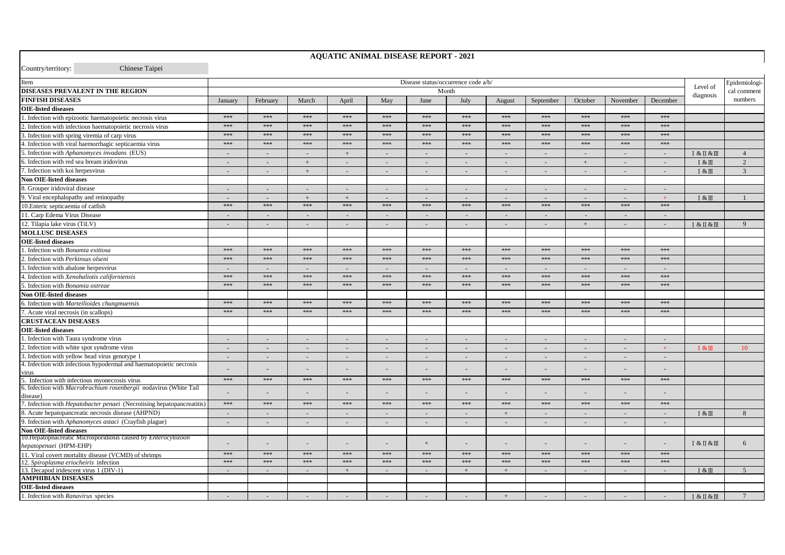Country/territory:

I. Infection with Ranavirus species

 $\sim$ 

 $\overline{a}$ 

 $\sim$ 

Chinese Tainei

## Disease status/occurrence code a/b/ Item Epidemiologi-Level of **DISEASES PREVALENT IN THE REGION** Month cal comment diagnosis **FINFISH DISEASES** January February March April May June July September October November December numbers August **OIE-listed diseases** \*\*\* \*\*\* \*\*\* \*\*\* \*\*\* \*\*\*  $* * *$ 1. Infection with epizootic haematopoietic necrosis virus \*\*\*  $***$ \*\*\* \*\*\*  $***$ 2. Infection with infectious haematopoietic necrosis virus \*\*\*  $***$ \*\*\* \*\*\*  $***$ \*\*\* \*\*\*  $***$ \*\*\* \*\*\*  $***$  $***$ 3. Infection with spring viremia of carp virus  $444$  $+ + +$ \*\*\*  $+++$  $444$  $444$  $444$  $+ + +$  $+ + +$  $444$  $-1$  $+ + +$  $***$  $**$  $***$  $* * *$  $**$  $***$  $***$  $**$  $***$  $***$  $* * *$  $***$ 4. Infection with viral haemorrhagic septicaemia virus 5. Infection with Aphanomyces invadans (EUS)  $^{+}$  $I & K II & M$  $\overline{4}$ 6. Infection with red sea bream iridovirus  $\overline{2}$ n. L.  $\pm$ L. ÷. ÷. ÷. u.  $+$ ÷. ÷.  $I & H$ . Infection with koi herpesvirus  $I & \& \mathbb{II}$  $\overline{3}$  $\mathcal{L}^{\mathcal{L}}$  $\sim$  $\sim$  $+$  $\sim$  $\sim$  $\sim$  $\sim$  $\sim$  $\sim$  $\sim$  $\sim$ Non OIE-listed diseases 8. Grouper iridoviral disease  $\mathcal{L}^{\mathcal{L}}$  $\sim$  $\mathcal{L}^{\mathcal{L}}$  $\sim$  $\sim$  $\sim$  $\sim$  $\sim$  $\sim$  $\sim$  $\mathcal{L}$  $\sim$ 9. Viral encephalopathy and retinopathy  $\sim$  $\sim$  $+$  $+$  $\sim$ ÷. ÷.  $\sim$  $\sim$  $\sim$  $\sim$  $\overline{+}$  $I & \& III$  $\mathbf{1}$ 10. Enteric septicaemia of catfish  $***$  $***$  $***$  $***$  $***$  $***$ \*\*\*  $***$  $***$  $***$  $***$  $***$ 11 Carn Edema Virus Disease na. ÷. ш. ш. in 19 ÷. ÷. ш. in 19 ш. in 19 ш. 12. Tilapia lake virus (TiLV)  $\sim$  $\sim$  $+$  $I & H & \overline{K}$  $\overline{9}$ **MOLLUSC DISEASES OIE-listed diseases** 1. Infection with *Bonamia exitiosa* \*\*\*  $***$  $***$ \*\*\*  $***$  $***$ \*\*\*  $***$  $***$  $***$  $***$  $***$ 2. Infection with Perkinsus olseni  $***$  $444$  $222$  $***$  $444$  $444$  $444$  $444$  $***$  $222$  $444$  $+ + +$ 3. Infection with abalone herpesvirus ÷.  $\overline{a}$  $\overline{\phantom{a}}$  $\sim$  $\sim$ ÷. ÷. ÷. 4. Infection with Xenohaliotis californiensis \*\*\*  $***$  $***$ \*\*\*  $***$  $***$ \*\*\*  $***$  $***$ \*\*\*  $***$  $***$ 5. Infection with *Bonamia ostreae*  $***$  $***$  $***$  $***$  $***$  $***$ \*\*\*  $***$  $***$  $***$  $***$  $***$ Non OIE-listed diseases 5. Infection with Marteilioides chungmuensis \*\*\* \*\*\* \*\*\* \*\*\* \*\*\*  $***$ \*\*\* \*\*\* **Scott**  $2.222$ **Scotch** \*\*\*  $***$  $***$  $***$ 7. Acute viral necrosis (in scallops)  $***$  $***$  $***$  $***$  $***$  $***$  $* * *$  $***$  $***$ **CRUSTACEAN DISEASES OIE-listed diseases** 1. Infection with Taura syndrome virus  $\sim$  $\sim$  $\sim$  $\mathbb{Z}^2$  $\sim$  $\sim$  $\sim$  $\sim$  $\sim$  $\mathcal{L}$  $\sim$ 2. Infection with white spot syndrome virus  $\sim$  $\mathbb{Z}^2$  $\mathbf{r}$  $\mathcal{L}$  $\mathcal{L}^{\mathcal{L}}$  $\sim$  $I &$  $10<sup>1</sup>$  $\sim$  $\sim$  $\sim$  $\sim$  $\sim$ 3. Infection with yellow head virus genotype 1  $\sim$  $\Box$  $\bar{z}$  $\omega$  $\sim$ 4. Infection with infectious hypodermal and haematopoietic necrosis  $\mathcal{L}$ u. чü.  $\mathbf{r}$  $\sim$ ÷. ш. ÷. чü. ш. ш. n. virus 5. Infection with infectious myonecrosis virus  $***$  $***$  $\ast\ast\ast$  $***$  $***$  $***$  $***$  $\ast\ast\ast$  $\ast\ast\ast$  $***$  $\ast\ast\ast$  $***$ 6. Infection with Macrobrachium rosenbergii nodavirus (White Tail  $\sim$  $\sim$  $\overline{a}$ ÷.  $\sim$  $\sim$  $\sim$  $\sim$  $\sim$ disease) 7. Infection with *Hepatobacter penaei* (Necrotising hepatopancreatitis)  $***$  $***$  $***$  $***$  $***$  $***$ \*\*\* \*\*\*  $***$  $***$  $***$  $***$ 8. Acute hepatopancreatic necrosis disease (AHPND)  $\overline{8}$  $\ddot{+}$ I & III 9. Infection with Aphanomyces astaci (Crayfish plague)  $\sim$  $\omega$  $\mathcal{L}$  $\sim$  $\sim$  $\sim$  $\sim$  $\sim$  $\sim$  $\sim$  $\sim$  $\sim$ **Non OIE-listed diseases** 10. Hepatophacreatic Microsporidiosis caused by *Enterocytozoon* 6  $I & H & \mathbb{H}$ ÷.  $\pm$ ÷. hepatopenaei (HPM-EHP) \*\*\*  $**$ \*\*\* \*\*\*  $* * *$  $* * *$  $* * *$ \*\*\* \*\*\*  $* * *$ \*\*\*  $* * *$ 11. Viral covert mortality disease (VCMD) of shrimps 12. Spiroplasma eriocheiris infection \*\*\* \*\*\* \*\*\* \*\*\* \*\*\* \*\*\* \*\*\* \*\*\* \*\*\* \*\*\* \*\*\* \*\*\* 13 Decapod iridescent virus 1 (DIV-1)  $\sim$  $\sim$  $\sim$  $+$  $\sim$  $\sim$  $+$  $\overline{+}$  $\overline{\mathcal{L}}$  $\sim$  $\sim$  $\sim$  $I & \& III$  $\overline{5}$ **AMPHIBIAN DISEASES OIE-listed diseases**

 $\sim$ 

 $\pm$ 

 $\sim$ 

 $\sim$ 

 $\sim$ 

 $I & \sqrt{I + X}$ 

 $\overline{7}$ 

**AQUATIC ANIMAL DISEASE REPORT - 2021**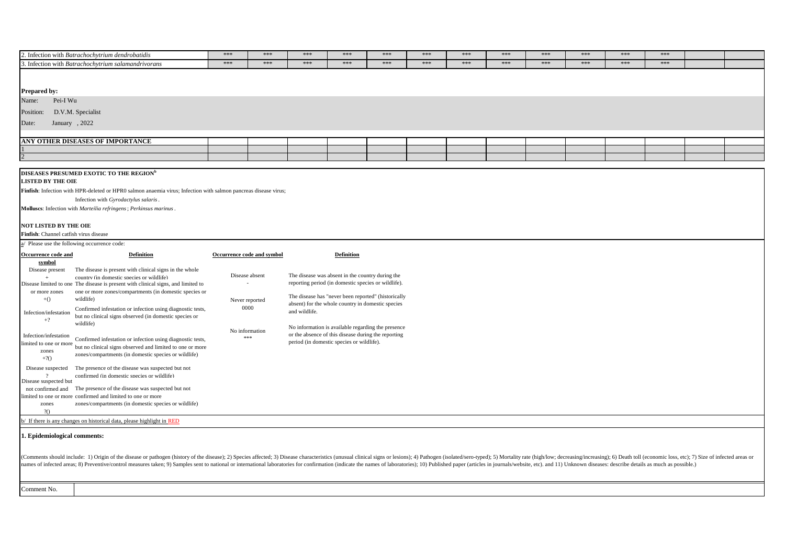| 2. Infection with Batrachochytrium dendrobatidis                                                                                                                                                                                                                                                                                                                                                                                                                | $***$          | $***$                      | $***$         | $***$                                               | $***$ | $***$ | $***$ | ***   | $***$ | $***$ | $***$ | $***$ |  |
|-----------------------------------------------------------------------------------------------------------------------------------------------------------------------------------------------------------------------------------------------------------------------------------------------------------------------------------------------------------------------------------------------------------------------------------------------------------------|----------------|----------------------------|---------------|-----------------------------------------------------|-------|-------|-------|-------|-------|-------|-------|-------|--|
| 3. Infection with Batrachochytrium salamandrivorans                                                                                                                                                                                                                                                                                                                                                                                                             | $***$          | $***$                      | $***$         | $***$                                               | $***$ | $***$ | $***$ | $***$ | $***$ | $***$ | $***$ | $***$ |  |
|                                                                                                                                                                                                                                                                                                                                                                                                                                                                 |                |                            |               |                                                     |       |       |       |       |       |       |       |       |  |
|                                                                                                                                                                                                                                                                                                                                                                                                                                                                 |                |                            |               |                                                     |       |       |       |       |       |       |       |       |  |
| <b>Prepared by:</b>                                                                                                                                                                                                                                                                                                                                                                                                                                             |                |                            |               |                                                     |       |       |       |       |       |       |       |       |  |
| Pei-I Wu<br>Name:                                                                                                                                                                                                                                                                                                                                                                                                                                               |                |                            |               |                                                     |       |       |       |       |       |       |       |       |  |
| D.V.M. Specialist<br>Position:                                                                                                                                                                                                                                                                                                                                                                                                                                  |                |                            |               |                                                     |       |       |       |       |       |       |       |       |  |
|                                                                                                                                                                                                                                                                                                                                                                                                                                                                 |                |                            |               |                                                     |       |       |       |       |       |       |       |       |  |
| January, 2022<br>Date:                                                                                                                                                                                                                                                                                                                                                                                                                                          |                |                            |               |                                                     |       |       |       |       |       |       |       |       |  |
|                                                                                                                                                                                                                                                                                                                                                                                                                                                                 |                |                            |               |                                                     |       |       |       |       |       |       |       |       |  |
| ANY OTHER DISEASES OF IMPORTANCE                                                                                                                                                                                                                                                                                                                                                                                                                                |                |                            |               |                                                     |       |       |       |       |       |       |       |       |  |
|                                                                                                                                                                                                                                                                                                                                                                                                                                                                 |                |                            |               |                                                     |       |       |       |       |       |       |       |       |  |
|                                                                                                                                                                                                                                                                                                                                                                                                                                                                 |                |                            |               |                                                     |       |       |       |       |       |       |       |       |  |
| DISEASES PRESUMED EXOTIC TO THE REGION <sup>b</sup>                                                                                                                                                                                                                                                                                                                                                                                                             |                |                            |               |                                                     |       |       |       |       |       |       |       |       |  |
| <b>LISTED BY THE OIE</b>                                                                                                                                                                                                                                                                                                                                                                                                                                        |                |                            |               |                                                     |       |       |       |       |       |       |       |       |  |
| Finfish: Infection with HPR-deleted or HPRO salmon anaemia virus; Infection with salmon pancreas disease virus;                                                                                                                                                                                                                                                                                                                                                 |                |                            |               |                                                     |       |       |       |       |       |       |       |       |  |
| Infection with Gyrodactylus salaris.                                                                                                                                                                                                                                                                                                                                                                                                                            |                |                            |               |                                                     |       |       |       |       |       |       |       |       |  |
| Molluses: Infection with Marteilia refringens; Perkinsus marinus.                                                                                                                                                                                                                                                                                                                                                                                               |                |                            |               |                                                     |       |       |       |       |       |       |       |       |  |
|                                                                                                                                                                                                                                                                                                                                                                                                                                                                 |                |                            |               |                                                     |       |       |       |       |       |       |       |       |  |
| <b>NOT LISTED BY THE OIE</b>                                                                                                                                                                                                                                                                                                                                                                                                                                    |                |                            |               |                                                     |       |       |       |       |       |       |       |       |  |
| Finfish: Channel catfish virus disease                                                                                                                                                                                                                                                                                                                                                                                                                          |                |                            |               |                                                     |       |       |       |       |       |       |       |       |  |
| $\underline{a}$ Please use the following occurrence code:                                                                                                                                                                                                                                                                                                                                                                                                       |                |                            |               |                                                     |       |       |       |       |       |       |       |       |  |
|                                                                                                                                                                                                                                                                                                                                                                                                                                                                 |                |                            |               |                                                     |       |       |       |       |       |       |       |       |  |
| Occurrence code and<br><b>Definition</b><br>symbol                                                                                                                                                                                                                                                                                                                                                                                                              |                | Occurrence code and symbol |               | <b>Definition</b>                                   |       |       |       |       |       |       |       |       |  |
| The disease is present with clinical signs in the whole<br>Disease present                                                                                                                                                                                                                                                                                                                                                                                      |                |                            |               |                                                     |       |       |       |       |       |       |       |       |  |
| country (in domestic species or wildlife)                                                                                                                                                                                                                                                                                                                                                                                                                       |                | Disease absent             |               | The disease was absent in the country during the    |       |       |       |       |       |       |       |       |  |
| Disease limited to one The disease is present with clinical signs, and limited to                                                                                                                                                                                                                                                                                                                                                                               |                | $\overline{a}$             |               | reporting period (in domestic species or wildlife). |       |       |       |       |       |       |       |       |  |
| or more zones<br>one or more zones/compartments (in domestic species or                                                                                                                                                                                                                                                                                                                                                                                         |                |                            |               | The disease has "never been reported" (historically |       |       |       |       |       |       |       |       |  |
| $+()$<br>wildlife)                                                                                                                                                                                                                                                                                                                                                                                                                                              |                | Never reported             |               | absent) for the whole country in domestic species   |       |       |       |       |       |       |       |       |  |
| Confirmed infestation or infection using diagnostic tests,<br>Infection/infestation                                                                                                                                                                                                                                                                                                                                                                             |                | 0000                       | and wildlife. |                                                     |       |       |       |       |       |       |       |       |  |
| but no clinical signs observed (in domestic species or<br>$+?$<br>wildlife)                                                                                                                                                                                                                                                                                                                                                                                     |                |                            |               |                                                     |       |       |       |       |       |       |       |       |  |
|                                                                                                                                                                                                                                                                                                                                                                                                                                                                 | No information |                            |               | No information is available regarding the presence  |       |       |       |       |       |       |       |       |  |
| Infection/infestation<br>Confirmed infestation or infection using diagnostic tests,                                                                                                                                                                                                                                                                                                                                                                             |                | ***                        |               | or the absence of this disease during the reporting |       |       |       |       |       |       |       |       |  |
| limited to one or more<br>but no clinical signs observed and limited to one or more                                                                                                                                                                                                                                                                                                                                                                             |                |                            |               | period (in domestic species or wildlife).           |       |       |       |       |       |       |       |       |  |
| zones<br>zones/compartments (in domestic species or wildlife)<br>$+?()$                                                                                                                                                                                                                                                                                                                                                                                         |                |                            |               |                                                     |       |       |       |       |       |       |       |       |  |
|                                                                                                                                                                                                                                                                                                                                                                                                                                                                 |                |                            |               |                                                     |       |       |       |       |       |       |       |       |  |
| The presence of the disease was suspected but not<br>Disease suspected<br>confirmed (in domestic species or wildlife)                                                                                                                                                                                                                                                                                                                                           |                |                            |               |                                                     |       |       |       |       |       |       |       |       |  |
| Disease suspected but                                                                                                                                                                                                                                                                                                                                                                                                                                           |                |                            |               |                                                     |       |       |       |       |       |       |       |       |  |
| The presence of the disease was suspected but not<br>not confirmed and                                                                                                                                                                                                                                                                                                                                                                                          |                |                            |               |                                                     |       |       |       |       |       |       |       |       |  |
| limited to one or more confirmed and limited to one or more                                                                                                                                                                                                                                                                                                                                                                                                     |                |                            |               |                                                     |       |       |       |       |       |       |       |       |  |
| zones/compartments (in domestic species or wildlife)<br>zones<br>20                                                                                                                                                                                                                                                                                                                                                                                             |                |                            |               |                                                     |       |       |       |       |       |       |       |       |  |
|                                                                                                                                                                                                                                                                                                                                                                                                                                                                 |                |                            |               |                                                     |       |       |       |       |       |       |       |       |  |
| b/ If there is any changes on historical data, please highlight in RED                                                                                                                                                                                                                                                                                                                                                                                          |                |                            |               |                                                     |       |       |       |       |       |       |       |       |  |
| 1. Epidemiological comments:                                                                                                                                                                                                                                                                                                                                                                                                                                    |                |                            |               |                                                     |       |       |       |       |       |       |       |       |  |
|                                                                                                                                                                                                                                                                                                                                                                                                                                                                 |                |                            |               |                                                     |       |       |       |       |       |       |       |       |  |
|                                                                                                                                                                                                                                                                                                                                                                                                                                                                 |                |                            |               |                                                     |       |       |       |       |       |       |       |       |  |
| (Comments should include: 1) Origin of the disease or pathogen (history of the disease); 2) Species affected; 3) Disease characteristics (unusual clinical signs or lesions); 4) Pathogen (isolated/sero-typed); 5) Mortality<br>names of infected areas; 8) Preventive/control measures taken; 9) Samples sent to national or international laboratories for confirmation (indicate the names of laboratories); 10) Published paper (articles in journals/webs |                |                            |               |                                                     |       |       |       |       |       |       |       |       |  |
|                                                                                                                                                                                                                                                                                                                                                                                                                                                                 |                |                            |               |                                                     |       |       |       |       |       |       |       |       |  |
|                                                                                                                                                                                                                                                                                                                                                                                                                                                                 |                |                            |               |                                                     |       |       |       |       |       |       |       |       |  |

Comment No.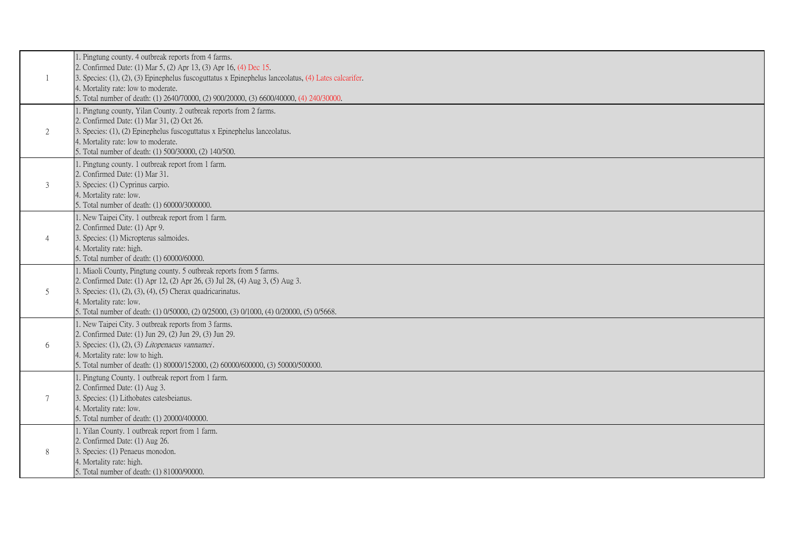|                 | 1. Pingtung county. 4 outbreak reports from 4 farms.                                                                |
|-----------------|---------------------------------------------------------------------------------------------------------------------|
|                 | 2. Confirmed Date: (1) Mar 5, (2) Apr 13, (3) Apr 16, (4) Dec 15.                                                   |
|                 | 3. Species: (1), (2), (3) Epinephelus fuscoguttatus x Epinephelus lanceolatus, (4) Lates calcarifer.                |
|                 | 4. Mortality rate: low to moderate.                                                                                 |
|                 | 5. Total number of death: (1) 2640/70000, (2) 900/20000, (3) 6600/40000, (4) 240/30000.                             |
|                 | 1. Pingtung county, Yilan County. 2 outbreak reports from 2 farms.                                                  |
|                 | 2. Confirmed Date: (1) Mar 31, (2) Oct 26.                                                                          |
| 2               | 3. Species: (1), (2) Epinephelus fuscoguttatus x Epinephelus lanceolatus.                                           |
|                 | 4. Mortality rate: low to moderate.                                                                                 |
|                 | 5. Total number of death: (1) 500/30000, (2) 140/500.                                                               |
|                 | 1. Pingtung county. 1 outbreak report from 1 farm.                                                                  |
|                 | 2. Confirmed Date: (1) Mar 31.                                                                                      |
| 3               | 3. Species: (1) Cyprinus carpio.                                                                                    |
|                 | 4. Mortality rate: low.                                                                                             |
|                 | 5. Total number of death: (1) 60000/3000000.                                                                        |
|                 | 1. New Taipei City. 1 outbreak report from 1 farm.                                                                  |
|                 | 2. Confirmed Date: (1) Apr 9.                                                                                       |
| $\overline{4}$  | 3. Species: (1) Micropterus salmoides.                                                                              |
|                 | 4. Mortality rate: high.                                                                                            |
|                 | 5. Total number of death: (1) 60000/60000.                                                                          |
|                 | 1. Miaoli County, Pingtung county. 5 outbreak reports from 5 farms.                                                 |
|                 | 2. Confirmed Date: (1) Apr 12, (2) Apr 26, (3) Jul 28, (4) Aug 3, (5) Aug 3.                                        |
| 5               | 3. Species: $(1)$ , $(2)$ , $(3)$ , $(4)$ , $(5)$ Cherax quadricarinatus.                                           |
|                 | 4. Mortality rate: low.<br>5. Total number of death: (1) 0/50000, (2) 0/25000, (3) 0/1000, (4) 0/20000, (5) 0/5668. |
|                 | 1. New Taipei City. 3 outbreak reports from 3 farms.                                                                |
|                 | 2. Confirmed Date: (1) Jun 29, (2) Jun 29, (3) Jun 29.                                                              |
| 6               | 3. Species: (1), (2), (3) Litopenaeus vannamei.                                                                     |
|                 | 4. Mortality rate: low to high.                                                                                     |
|                 | 5. Total number of death: (1) 80000/152000, (2) 60000/600000, (3) 50000/500000.                                     |
|                 | 1. Pingtung County. 1 outbreak report from 1 farm.                                                                  |
|                 | 2. Confirmed Date: (1) Aug 3.                                                                                       |
| $7\phantom{.0}$ | 3. Species: (1) Lithobates catesbeianus.                                                                            |
|                 | 4. Mortality rate: low.                                                                                             |
|                 | 5. Total number of death: (1) 20000/400000.                                                                         |
|                 | 1. Yilan County. 1 outbreak report from 1 farm.                                                                     |
|                 | 2. Confirmed Date: (1) Aug 26.                                                                                      |
| 8               | 3. Species: (1) Penaeus monodon.                                                                                    |
|                 | 4. Mortality rate: high.                                                                                            |
|                 | 5. Total number of death: (1) 81000/90000.                                                                          |